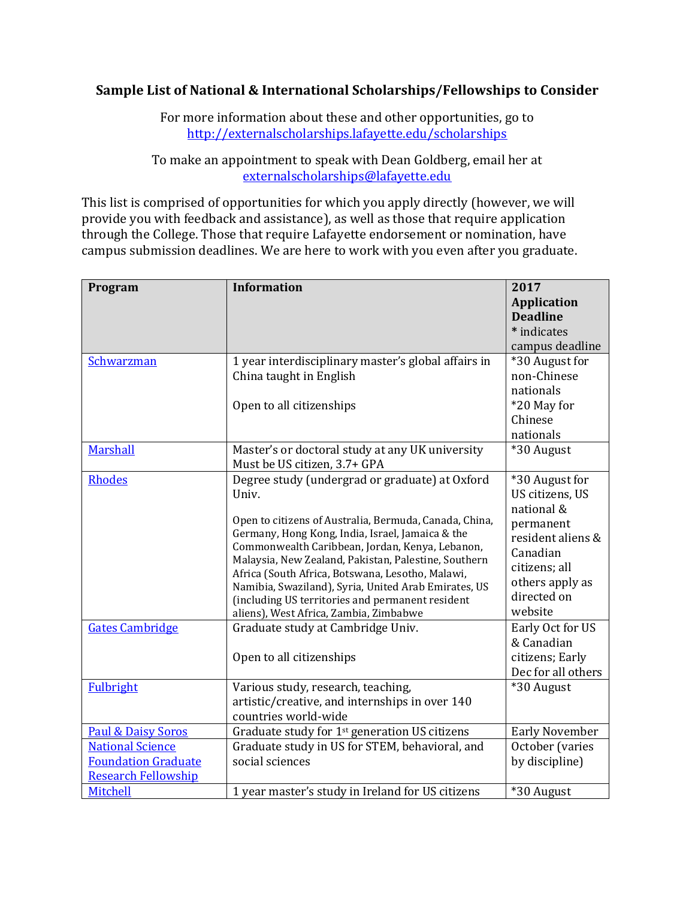## **Sample List of National & International Scholarships/Fellowships to Consider**

For more information about these and other opportunities, go to <http://externalscholarships.lafayette.edu/scholarships>

To make an appointment to speak with Dean Goldberg, email her at [externalscholarships@lafayette.edu](mailto:externalscholarships@lafayette.edu)

This list is comprised of opportunities for which you apply directly (however, we will provide you with feedback and assistance), as well as those that require application through the College. Those that require Lafayette endorsement or nomination, have campus submission deadlines. We are here to work with you even after you graduate.

| Program                                                                             | <b>Information</b>                                                                                                                                                                                                                                                                                                                                                                                                                                                                                                                                          | 2017<br><b>Application</b><br><b>Deadline</b>                                                                                                                                                                                          |
|-------------------------------------------------------------------------------------|-------------------------------------------------------------------------------------------------------------------------------------------------------------------------------------------------------------------------------------------------------------------------------------------------------------------------------------------------------------------------------------------------------------------------------------------------------------------------------------------------------------------------------------------------------------|----------------------------------------------------------------------------------------------------------------------------------------------------------------------------------------------------------------------------------------|
|                                                                                     |                                                                                                                                                                                                                                                                                                                                                                                                                                                                                                                                                             | * indicates                                                                                                                                                                                                                            |
|                                                                                     |                                                                                                                                                                                                                                                                                                                                                                                                                                                                                                                                                             | campus deadline                                                                                                                                                                                                                        |
| Schwarzman                                                                          | 1 year interdisciplinary master's global affairs in<br>China taught in English<br>Open to all citizenships                                                                                                                                                                                                                                                                                                                                                                                                                                                  | *30 August for<br>non-Chinese<br>nationals<br>*20 May for<br>Chinese<br>nationals                                                                                                                                                      |
| Marshall                                                                            | Master's or doctoral study at any UK university<br>Must be US citizen, 3.7+ GPA                                                                                                                                                                                                                                                                                                                                                                                                                                                                             | *30 August                                                                                                                                                                                                                             |
| <b>Rhodes</b><br><b>Gates Cambridge</b>                                             | Degree study (undergrad or graduate) at Oxford<br>Univ.<br>Open to citizens of Australia, Bermuda, Canada, China,<br>Germany, Hong Kong, India, Israel, Jamaica & the<br>Commonwealth Caribbean, Jordan, Kenya, Lebanon,<br>Malaysia, New Zealand, Pakistan, Palestine, Southern<br>Africa (South Africa, Botswana, Lesotho, Malawi,<br>Namibia, Swaziland), Syria, United Arab Emirates, US<br>(including US territories and permanent resident<br>aliens), West Africa, Zambia, Zimbabwe<br>Graduate study at Cambridge Univ.<br>Open to all citizenships | *30 August for<br>US citizens, US<br>national &<br>permanent<br>resident aliens &<br>Canadian<br>citizens; all<br>others apply as<br>directed on<br>website<br>Early Oct for US<br>& Canadian<br>citizens; Early<br>Dec for all others |
| <b>Fulbright</b>                                                                    | Various study, research, teaching,<br>artistic/creative, and internships in over 140<br>countries world-wide                                                                                                                                                                                                                                                                                                                                                                                                                                                | *30 August                                                                                                                                                                                                                             |
| <b>Paul &amp; Daisy Soros</b>                                                       | Graduate study for 1 <sup>st</sup> generation US citizens                                                                                                                                                                                                                                                                                                                                                                                                                                                                                                   | <b>Early November</b>                                                                                                                                                                                                                  |
| <b>National Science</b><br><b>Foundation Graduate</b><br><b>Research Fellowship</b> | Graduate study in US for STEM, behavioral, and<br>social sciences                                                                                                                                                                                                                                                                                                                                                                                                                                                                                           | October (varies<br>by discipline)                                                                                                                                                                                                      |
| <b>Mitchell</b>                                                                     | 1 year master's study in Ireland for US citizens                                                                                                                                                                                                                                                                                                                                                                                                                                                                                                            | *30 August                                                                                                                                                                                                                             |